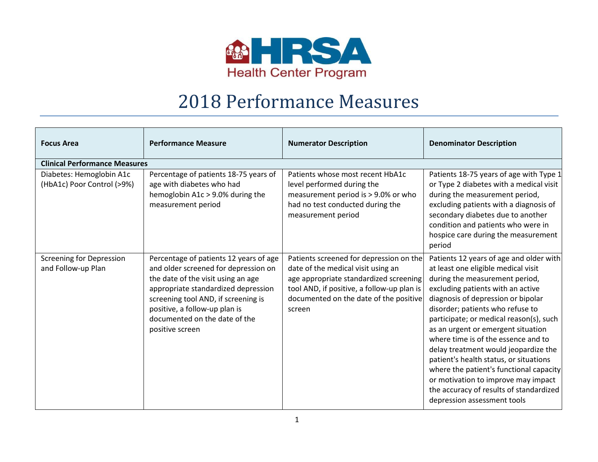

## 2018 Performance Measures

| <b>Focus Area</b>                                      | <b>Performance Measure</b>                                                                                                                                                                                                                                                              | <b>Numerator Description</b>                                                                                                                                                                                              | <b>Denominator Description</b>                                                                                                                                                                                                                                                                                                                                                                                                                                                                                                                                                                        |
|--------------------------------------------------------|-----------------------------------------------------------------------------------------------------------------------------------------------------------------------------------------------------------------------------------------------------------------------------------------|---------------------------------------------------------------------------------------------------------------------------------------------------------------------------------------------------------------------------|-------------------------------------------------------------------------------------------------------------------------------------------------------------------------------------------------------------------------------------------------------------------------------------------------------------------------------------------------------------------------------------------------------------------------------------------------------------------------------------------------------------------------------------------------------------------------------------------------------|
| <b>Clinical Performance Measures</b>                   |                                                                                                                                                                                                                                                                                         |                                                                                                                                                                                                                           |                                                                                                                                                                                                                                                                                                                                                                                                                                                                                                                                                                                                       |
| Diabetes: Hemoglobin A1c<br>(HbA1c) Poor Control (>9%) | Percentage of patients 18-75 years of<br>age with diabetes who had<br>hemoglobin A1c > 9.0% during the<br>measurement period                                                                                                                                                            | Patients whose most recent HbA1c<br>level performed during the<br>measurement period is > 9.0% or who<br>had no test conducted during the<br>measurement period                                                           | Patients 18-75 years of age with Type 1<br>or Type 2 diabetes with a medical visit<br>during the measurement period,<br>excluding patients with a diagnosis of<br>secondary diabetes due to another<br>condition and patients who were in<br>hospice care during the measurement<br>period                                                                                                                                                                                                                                                                                                            |
| <b>Screening for Depression</b><br>and Follow-up Plan  | Percentage of patients 12 years of age<br>and older screened for depression on<br>the date of the visit using an age<br>appropriate standardized depression<br>screening tool AND, if screening is<br>positive, a follow-up plan is<br>documented on the date of the<br>positive screen | Patients screened for depression on the<br>date of the medical visit using an<br>age appropriate standardized screening<br>tool AND, if positive, a follow-up plan is<br>documented on the date of the positive<br>screen | Patients 12 years of age and older with<br>at least one eligible medical visit<br>during the measurement period,<br>excluding patients with an active<br>diagnosis of depression or bipolar<br>disorder; patients who refuse to<br>participate; or medical reason(s), such<br>as an urgent or emergent situation<br>where time is of the essence and to<br>delay treatment would jeopardize the<br>patient's health status, or situations<br>where the patient's functional capacity<br>or motivation to improve may impact<br>the accuracy of results of standardized<br>depression assessment tools |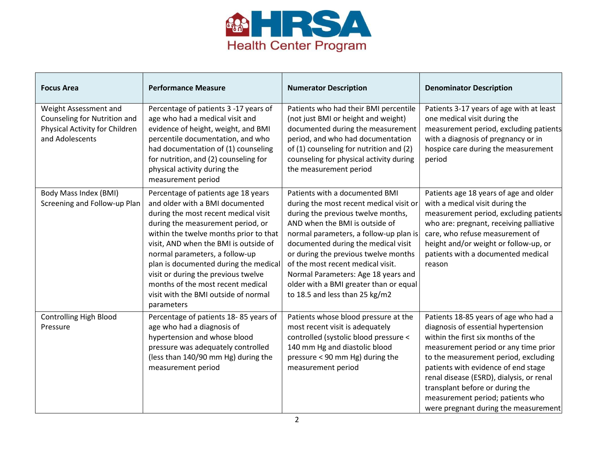

| <b>Focus Area</b>                                                                                          | <b>Performance Measure</b>                                                                                                                                                                                                                                                                                                                                                                                                                          | <b>Numerator Description</b>                                                                                                                                                                                                                                                                                                                                                                                                       | <b>Denominator Description</b>                                                                                                                                                                                                                                                                                                                                                                       |
|------------------------------------------------------------------------------------------------------------|-----------------------------------------------------------------------------------------------------------------------------------------------------------------------------------------------------------------------------------------------------------------------------------------------------------------------------------------------------------------------------------------------------------------------------------------------------|------------------------------------------------------------------------------------------------------------------------------------------------------------------------------------------------------------------------------------------------------------------------------------------------------------------------------------------------------------------------------------------------------------------------------------|------------------------------------------------------------------------------------------------------------------------------------------------------------------------------------------------------------------------------------------------------------------------------------------------------------------------------------------------------------------------------------------------------|
| Weight Assessment and<br>Counseling for Nutrition and<br>Physical Activity for Children<br>and Adolescents | Percentage of patients 3 -17 years of<br>age who had a medical visit and<br>evidence of height, weight, and BMI<br>percentile documentation, and who<br>had documentation of (1) counseling<br>for nutrition, and (2) counseling for<br>physical activity during the<br>measurement period                                                                                                                                                          | Patients who had their BMI percentile<br>(not just BMI or height and weight)<br>documented during the measurement<br>period, and who had documentation<br>of (1) counseling for nutrition and (2)<br>counseling for physical activity during<br>the measurement period                                                                                                                                                             | Patients 3-17 years of age with at least<br>one medical visit during the<br>measurement period, excluding patients<br>with a diagnosis of pregnancy or in<br>hospice care during the measurement<br>period                                                                                                                                                                                           |
| Body Mass Index (BMI)<br>Screening and Follow-up Plan                                                      | Percentage of patients age 18 years<br>and older with a BMI documented<br>during the most recent medical visit<br>during the measurement period, or<br>within the twelve months prior to that<br>visit, AND when the BMI is outside of<br>normal parameters, a follow-up<br>plan is documented during the medical<br>visit or during the previous twelve<br>months of the most recent medical<br>visit with the BMI outside of normal<br>parameters | Patients with a documented BMI<br>during the most recent medical visit or<br>during the previous twelve months,<br>AND when the BMI is outside of<br>normal parameters, a follow-up plan is<br>documented during the medical visit<br>or during the previous twelve months<br>of the most recent medical visit.<br>Normal Parameters: Age 18 years and<br>older with a BMI greater than or equal<br>to 18.5 and less than 25 kg/m2 | Patients age 18 years of age and older<br>with a medical visit during the<br>measurement period, excluding patients<br>who are: pregnant, receiving palliative<br>care, who refuse measurement of<br>height and/or weight or follow-up, or<br>patients with a documented medical<br>reason                                                                                                           |
| <b>Controlling High Blood</b><br>Pressure                                                                  | Percentage of patients 18-85 years of<br>age who had a diagnosis of<br>hypertension and whose blood<br>pressure was adequately controlled<br>(less than 140/90 mm Hg) during the<br>measurement period                                                                                                                                                                                                                                              | Patients whose blood pressure at the<br>most recent visit is adequately<br>controlled (systolic blood pressure <<br>140 mm Hg and diastolic blood<br>pressure < 90 mm Hg) during the<br>measurement period                                                                                                                                                                                                                         | Patients 18-85 years of age who had a<br>diagnosis of essential hypertension<br>within the first six months of the<br>measurement period or any time prior<br>to the measurement period, excluding<br>patients with evidence of end stage<br>renal disease (ESRD), dialysis, or renal<br>transplant before or during the<br>measurement period; patients who<br>were pregnant during the measurement |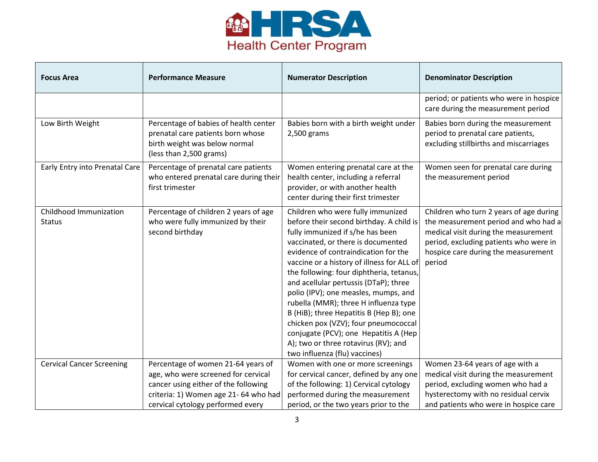

| <b>Focus Area</b>                       | <b>Performance Measure</b>                                                                                                             | <b>Numerator Description</b>                                                                                                                                                                                                                                                                                                                                                                                                                                                                                                                                                                                             | <b>Denominator Description</b>                                                                                                                                                                                     |
|-----------------------------------------|----------------------------------------------------------------------------------------------------------------------------------------|--------------------------------------------------------------------------------------------------------------------------------------------------------------------------------------------------------------------------------------------------------------------------------------------------------------------------------------------------------------------------------------------------------------------------------------------------------------------------------------------------------------------------------------------------------------------------------------------------------------------------|--------------------------------------------------------------------------------------------------------------------------------------------------------------------------------------------------------------------|
|                                         |                                                                                                                                        |                                                                                                                                                                                                                                                                                                                                                                                                                                                                                                                                                                                                                          | period; or patients who were in hospice<br>care during the measurement period                                                                                                                                      |
| Low Birth Weight                        | Percentage of babies of health center<br>prenatal care patients born whose<br>birth weight was below normal<br>(less than 2,500 grams) | Babies born with a birth weight under<br>2,500 grams                                                                                                                                                                                                                                                                                                                                                                                                                                                                                                                                                                     | Babies born during the measurement<br>period to prenatal care patients,<br>excluding stillbirths and miscarriages                                                                                                  |
| Early Entry into Prenatal Care          | Percentage of prenatal care patients<br>who entered prenatal care during their<br>first trimester                                      | Women entering prenatal care at the<br>health center, including a referral<br>provider, or with another health<br>center during their first trimester                                                                                                                                                                                                                                                                                                                                                                                                                                                                    | Women seen for prenatal care during<br>the measurement period                                                                                                                                                      |
| Childhood Immunization<br><b>Status</b> | Percentage of children 2 years of age<br>who were fully immunized by their<br>second birthday                                          | Children who were fully immunized<br>before their second birthday. A child is<br>fully immunized if s/he has been<br>vaccinated, or there is documented<br>evidence of contraindication for the<br>vaccine or a history of illness for ALL of<br>the following: four diphtheria, tetanus,<br>and acellular pertussis (DTaP); three<br>polio (IPV); one measles, mumps, and<br>rubella (MMR); three H influenza type<br>B (HiB); three Hepatitis B (Hep B); one<br>chicken pox (VZV); four pneumococcal<br>conjugate (PCV); one Hepatitis A (Hep<br>A); two or three rotavirus (RV); and<br>two influenza (flu) vaccines) | Children who turn 2 years of age during<br>the measurement period and who had a<br>medical visit during the measurement<br>period, excluding patients who were in<br>hospice care during the measurement<br>period |
| <b>Cervical Cancer Screening</b>        | Percentage of women 21-64 years of<br>age, who were screened for cervical                                                              | Women with one or more screenings<br>for cervical cancer, defined by any one                                                                                                                                                                                                                                                                                                                                                                                                                                                                                                                                             | Women 23-64 years of age with a<br>medical visit during the measurement                                                                                                                                            |
|                                         | cancer using either of the following                                                                                                   | of the following: 1) Cervical cytology                                                                                                                                                                                                                                                                                                                                                                                                                                                                                                                                                                                   | period, excluding women who had a                                                                                                                                                                                  |
|                                         | criteria: 1) Women age 21-64 who had                                                                                                   | performed during the measurement                                                                                                                                                                                                                                                                                                                                                                                                                                                                                                                                                                                         | hysterectomy with no residual cervix                                                                                                                                                                               |
|                                         | cervical cytology performed every                                                                                                      | period, or the two years prior to the                                                                                                                                                                                                                                                                                                                                                                                                                                                                                                                                                                                    | and patients who were in hospice care                                                                                                                                                                              |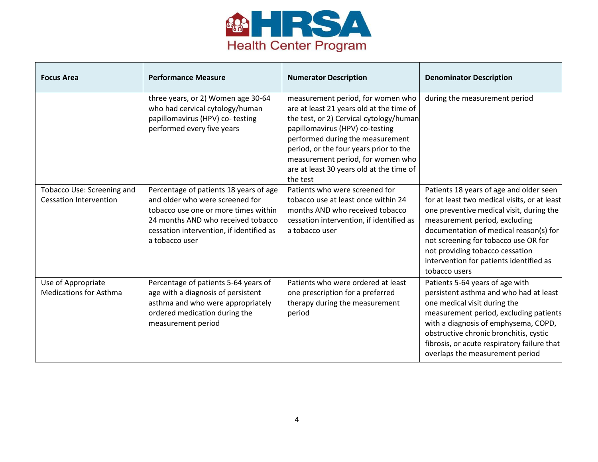

| <b>Focus Area</b>                                           | <b>Performance Measure</b>                                                                                                                                                                                            | <b>Numerator Description</b>                                                                                                                                                                                                                                                                                                           | <b>Denominator Description</b>                                                                                                                                                                                                                                                                                                                        |
|-------------------------------------------------------------|-----------------------------------------------------------------------------------------------------------------------------------------------------------------------------------------------------------------------|----------------------------------------------------------------------------------------------------------------------------------------------------------------------------------------------------------------------------------------------------------------------------------------------------------------------------------------|-------------------------------------------------------------------------------------------------------------------------------------------------------------------------------------------------------------------------------------------------------------------------------------------------------------------------------------------------------|
|                                                             | three years, or 2) Women age 30-64<br>who had cervical cytology/human<br>papillomavirus (HPV) co-testing<br>performed every five years                                                                                | measurement period, for women who<br>are at least 21 years old at the time of<br>the test, or 2) Cervical cytology/human<br>papillomavirus (HPV) co-testing<br>performed during the measurement<br>period, or the four years prior to the<br>measurement period, for women who<br>are at least 30 years old at the time of<br>the test | during the measurement period                                                                                                                                                                                                                                                                                                                         |
| Tobacco Use: Screening and<br><b>Cessation Intervention</b> | Percentage of patients 18 years of age<br>and older who were screened for<br>tobacco use one or more times within<br>24 months AND who received tobacco<br>cessation intervention, if identified as<br>a tobacco user | Patients who were screened for<br>tobacco use at least once within 24<br>months AND who received tobacco<br>cessation intervention, if identified as<br>a tobacco user                                                                                                                                                                 | Patients 18 years of age and older seen<br>for at least two medical visits, or at least<br>one preventive medical visit, during the<br>measurement period, excluding<br>documentation of medical reason(s) for<br>not screening for tobacco use OR for<br>not providing tobacco cessation<br>intervention for patients identified as<br>tobacco users |
| Use of Appropriate<br><b>Medications for Asthma</b>         | Percentage of patients 5-64 years of<br>age with a diagnosis of persistent<br>asthma and who were appropriately<br>ordered medication during the<br>measurement period                                                | Patients who were ordered at least<br>one prescription for a preferred<br>therapy during the measurement<br>period                                                                                                                                                                                                                     | Patients 5-64 years of age with<br>persistent asthma and who had at least<br>one medical visit during the<br>measurement period, excluding patients<br>with a diagnosis of emphysema, COPD,<br>obstructive chronic bronchitis, cystic<br>fibrosis, or acute respiratory failure that<br>overlaps the measurement period                               |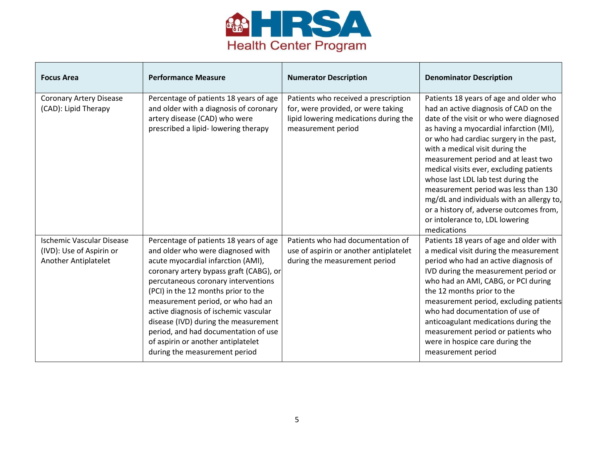

| <b>Focus Area</b>                                                                    | <b>Performance Measure</b>                                                                                                                                                                                                                                                                                                                                                                                                                                                      | <b>Numerator Description</b>                                                                                                              | <b>Denominator Description</b>                                                                                                                                                                                                                                                                                                                                                                                                                                                                                                                                |
|--------------------------------------------------------------------------------------|---------------------------------------------------------------------------------------------------------------------------------------------------------------------------------------------------------------------------------------------------------------------------------------------------------------------------------------------------------------------------------------------------------------------------------------------------------------------------------|-------------------------------------------------------------------------------------------------------------------------------------------|---------------------------------------------------------------------------------------------------------------------------------------------------------------------------------------------------------------------------------------------------------------------------------------------------------------------------------------------------------------------------------------------------------------------------------------------------------------------------------------------------------------------------------------------------------------|
| <b>Coronary Artery Disease</b><br>(CAD): Lipid Therapy                               | Percentage of patients 18 years of age<br>and older with a diagnosis of coronary<br>artery disease (CAD) who were<br>prescribed a lipid-lowering therapy                                                                                                                                                                                                                                                                                                                        | Patients who received a prescription<br>for, were provided, or were taking<br>lipid lowering medications during the<br>measurement period | Patients 18 years of age and older who<br>had an active diagnosis of CAD on the<br>date of the visit or who were diagnosed<br>as having a myocardial infarction (MI),<br>or who had cardiac surgery in the past,<br>with a medical visit during the<br>measurement period and at least two<br>medical visits ever, excluding patients<br>whose last LDL lab test during the<br>measurement period was less than 130<br>mg/dL and individuals with an allergy to,<br>or a history of, adverse outcomes from,<br>or intolerance to, LDL lowering<br>medications |
| <b>Ischemic Vascular Disease</b><br>(IVD): Use of Aspirin or<br>Another Antiplatelet | Percentage of patients 18 years of age<br>and older who were diagnosed with<br>acute myocardial infarction (AMI),<br>coronary artery bypass graft (CABG), or<br>percutaneous coronary interventions<br>(PCI) in the 12 months prior to the<br>measurement period, or who had an<br>active diagnosis of ischemic vascular<br>disease (IVD) during the measurement<br>period, and had documentation of use<br>of aspirin or another antiplatelet<br>during the measurement period | Patients who had documentation of<br>use of aspirin or another antiplatelet<br>during the measurement period                              | Patients 18 years of age and older with<br>a medical visit during the measurement<br>period who had an active diagnosis of<br>IVD during the measurement period or<br>who had an AMI, CABG, or PCI during<br>the 12 months prior to the<br>measurement period, excluding patients<br>who had documentation of use of<br>anticoagulant medications during the<br>measurement period or patients who<br>were in hospice care during the<br>measurement period                                                                                                   |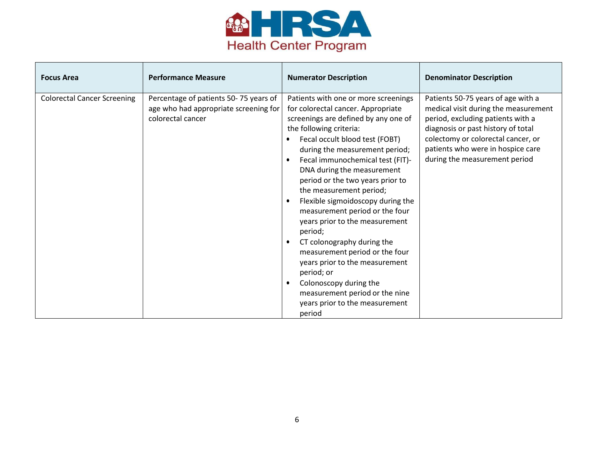

| <b>Focus Area</b>                  | <b>Performance Measure</b>                                                                          | <b>Numerator Description</b>                                                                                                                                                                                                                                                                                                                                                                                                                                                                                                                                                                                                                                                                                                          | <b>Denominator Description</b>                                                                                                                                                                                                                                    |
|------------------------------------|-----------------------------------------------------------------------------------------------------|---------------------------------------------------------------------------------------------------------------------------------------------------------------------------------------------------------------------------------------------------------------------------------------------------------------------------------------------------------------------------------------------------------------------------------------------------------------------------------------------------------------------------------------------------------------------------------------------------------------------------------------------------------------------------------------------------------------------------------------|-------------------------------------------------------------------------------------------------------------------------------------------------------------------------------------------------------------------------------------------------------------------|
| <b>Colorectal Cancer Screening</b> | Percentage of patients 50-75 years of<br>age who had appropriate screening for<br>colorectal cancer | Patients with one or more screenings<br>for colorectal cancer. Appropriate<br>screenings are defined by any one of<br>the following criteria:<br>Fecal occult blood test (FOBT)<br>$\bullet$<br>during the measurement period;<br>Fecal immunochemical test (FIT)-<br>$\bullet$<br>DNA during the measurement<br>period or the two years prior to<br>the measurement period;<br>Flexible sigmoidoscopy during the<br>measurement period or the four<br>years prior to the measurement<br>period;<br>CT colonography during the<br>measurement period or the four<br>years prior to the measurement<br>period; or<br>Colonoscopy during the<br>$\bullet$<br>measurement period or the nine<br>years prior to the measurement<br>period | Patients 50-75 years of age with a<br>medical visit during the measurement<br>period, excluding patients with a<br>diagnosis or past history of total<br>colectomy or colorectal cancer, or<br>patients who were in hospice care<br>during the measurement period |